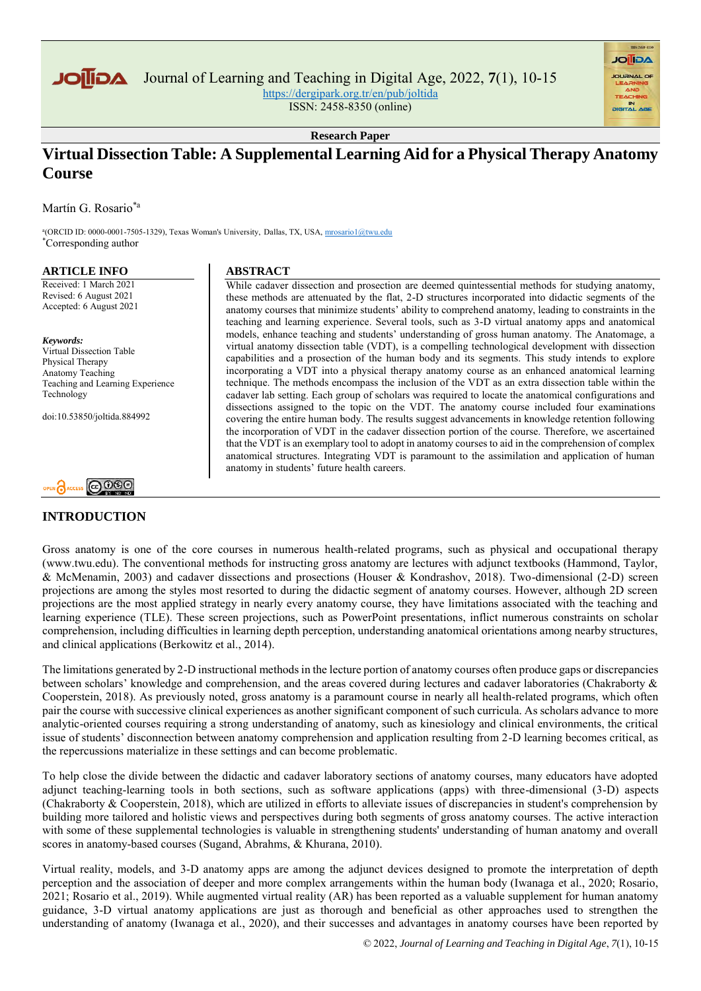

Journal of Learning and Teaching in Digital Age, 2022, **7**(1), 10-15

<https://dergipark.org.tr/en/pub/joltida>

ISSN: 2458-8350 (online)

**Research Paper**

# **Virtual Dissection Table: A Supplemental Learning Aid for a Physical Therapy Anatomy Course**

Martín G. Rosario\*a

a (ORCID ID: 0000-0001-7505-1329), Texas Woman's University, Dallas, TX, USA[, mrosario1@twu.edu](mrosario1@twu.edu%20)  \*Corresponding author

# **ARTICLE INFO**

Received: 1 March 2021 Revised: 6 August 2021 Accepted: 6 August 2021

*Keywords:* Virtual Dissection Table Physical Therapy Anatomy Teaching Teaching and Learning Experience Technology

doi:10.53850/joltida.884992



# **INTRODUCTION**

# **ABSTRACT**

While cadaver dissection and prosection are deemed quintessential methods for studying anatomy, these methods are attenuated by the flat, 2-D structures incorporated into didactic segments of the anatomy courses that minimize students' ability to comprehend anatomy, leading to constraints in the teaching and learning experience. Several tools, such as 3-D virtual anatomy apps and anatomical models, enhance teaching and students' understanding of gross human anatomy. The Anatomage, a virtual anatomy dissection table (VDT), is a compelling technological development with dissection capabilities and a prosection of the human body and its segments. This study intends to explore incorporating a VDT into a physical therapy anatomy course as an enhanced anatomical learning technique. The methods encompass the inclusion of the VDT as an extra dissection table within the cadaver lab setting. Each group of scholars was required to locate the anatomical configurations and dissections assigned to the topic on the VDT. The anatomy course included four examinations covering the entire human body. The results suggest advancements in knowledge retention following the incorporation of VDT in the cadaver dissection portion of the course. Therefore, we ascertained that the VDT is an exemplary tool to adopt in anatomy courses to aid in the comprehension of complex anatomical structures. Integrating VDT is paramount to the assimilation and application of human anatomy in students' future health careers.

**AGIIOL** 

Gross anatomy is one of the core courses in numerous health-related programs, such as physical and occupational therapy (www.twu.edu). The conventional methods for instructing gross anatomy are lectures with adjunct textbooks (Hammond, Taylor, & McMenamin, 2003) and cadaver dissections and prosections (Houser & Kondrashov, 2018). Two-dimensional (2-D) screen projections are among the styles most resorted to during the didactic segment of anatomy courses. However, although 2D screen projections are the most applied strategy in nearly every anatomy course, they have limitations associated with the teaching and learning experience (TLE). These screen projections, such as PowerPoint presentations, inflict numerous constraints on scholar comprehension, including difficulties in learning depth perception, understanding anatomical orientations among nearby structures, and clinical applications (Berkowitz et al., 2014).

The limitations generated by 2-D instructional methods in the lecture portion of anatomy courses often produce gaps or discrepancies between scholars' knowledge and comprehension, and the areas covered during lectures and cadaver laboratories (Chakraborty & Cooperstein, 2018). As previously noted, gross anatomy is a paramount course in nearly all health-related programs, which often pair the course with successive clinical experiences as another significant component of such curricula. As scholars advance to more analytic-oriented courses requiring a strong understanding of anatomy, such as kinesiology and clinical environments, the critical issue of students' disconnection between anatomy comprehension and application resulting from 2-D learning becomes critical, as the repercussions materialize in these settings and can become problematic.

To help close the divide between the didactic and cadaver laboratory sections of anatomy courses, many educators have adopted adjunct teaching-learning tools in both sections, such as software applications (apps) with three-dimensional (3-D) aspects (Chakraborty & Cooperstein, 2018), which are utilized in efforts to alleviate issues of discrepancies in student's comprehension by building more tailored and holistic views and perspectives during both segments of gross anatomy courses. The active interaction with some of these supplemental technologies is valuable in strengthening students' understanding of human anatomy and overall scores in anatomy-based courses (Sugand, Abrahms, & Khurana, 2010).

Virtual reality, models, and 3-D anatomy apps are among the adjunct devices designed to promote the interpretation of depth perception and the association of deeper and more complex arrangements within the human body (Iwanaga et al., 2020; Rosario, 2021; Rosario et al., 2019). While augmented virtual reality (AR) has been reported as a valuable supplement for human anatomy guidance, 3-D virtual anatomy applications are just as thorough and beneficial as other approaches used to strengthen the understanding of anatomy (Iwanaga et al., 2020), and their successes and advantages in anatomy courses have been reported by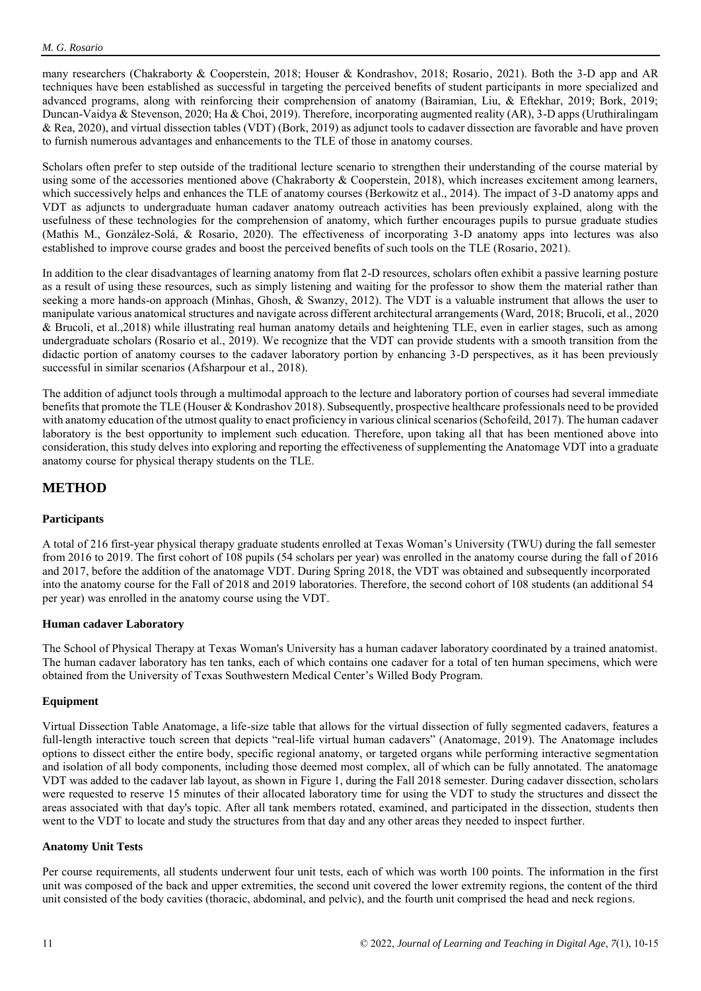many researchers (Chakraborty & Cooperstein, 2018; Houser & Kondrashov, 2018; Rosario, 2021). Both the 3-D app and AR techniques have been established as successful in targeting the perceived benefits of student participants in more specialized and advanced programs, along with reinforcing their comprehension of anatomy (Bairamian, Liu, & Eftekhar, 2019; Bork, 2019; Duncan-Vaidya & Stevenson, 2020; Ha & Choi, 2019). Therefore, incorporating augmented reality (AR), 3-D apps (Uruthiralingam & Rea, 2020), and virtual dissection tables (VDT) (Bork, 2019) as adjunct tools to cadaver dissection are favorable and have proven to furnish numerous advantages and enhancements to the TLE of those in anatomy courses.

Scholars often prefer to step outside of the traditional lecture scenario to strengthen their understanding of the course material by using some of the accessories mentioned above (Chakraborty & Cooperstein, 2018), which increases excitement among learners, which successively helps and enhances the TLE of anatomy courses (Berkowitz et al., 2014). The impact of 3-D anatomy apps and VDT as adjuncts to undergraduate human cadaver anatomy outreach activities has been previously explained, along with the usefulness of these technologies for the comprehension of anatomy, which further encourages pupils to pursue graduate studies (Mathis M., González-Solá, & Rosario, 2020). The effectiveness of incorporating 3-D anatomy apps into lectures was also established to improve course grades and boost the perceived benefits of such tools on the TLE (Rosario, 2021).

In addition to the clear disadvantages of learning anatomy from flat 2-D resources, scholars often exhibit a passive learning posture as a result of using these resources, such as simply listening and waiting for the professor to show them the material rather than seeking a more hands-on approach (Minhas, Ghosh, & Swanzy, 2012). The VDT is a valuable instrument that allows the user to manipulate various anatomical structures and navigate across different architectural arrangements (Ward, 2018; Brucoli, et al., 2020 & Brucoli, et al.,2018) while illustrating real human anatomy details and heightening TLE, even in earlier stages, such as among undergraduate scholars (Rosario et al., 2019). We recognize that the VDT can provide students with a smooth transition from the didactic portion of anatomy courses to the cadaver laboratory portion by enhancing 3-D perspectives, as it has been previously successful in similar scenarios (Afsharpour et al., 2018).

The addition of adjunct tools through a multimodal approach to the lecture and laboratory portion of courses had several immediate benefits that promote the TLE (Houser & Kondrashov 2018). Subsequently, prospective healthcare professionals need to be provided with anatomy education of the utmost quality to enact proficiency in various clinical scenarios (Schofeild, 2017). The human cadaver laboratory is the best opportunity to implement such education. Therefore, upon taking all that has been mentioned above into consideration, this study delves into exploring and reporting the effectiveness of supplementing the Anatomage VDT into a graduate anatomy course for physical therapy students on the TLE.

# **METHOD**

# **Participants**

A total of 216 first-year physical therapy graduate students enrolled at Texas Woman's University (TWU) during the fall semester from 2016 to 2019. The first cohort of 108 pupils (54 scholars per year) was enrolled in the anatomy course during the fall of 2016 and 2017, before the addition of the anatomage VDT. During Spring 2018, the VDT was obtained and subsequently incorporated into the anatomy course for the Fall of 2018 and 2019 laboratories. Therefore, the second cohort of 108 students (an additional 54 per year) was enrolled in the anatomy course using the VDT.

# **Human cadaver Laboratory**

The School of Physical Therapy at Texas Woman's University has a human cadaver laboratory coordinated by a trained anatomist. The human cadaver laboratory has ten tanks, each of which contains one cadaver for a total of ten human specimens, which were obtained from the University of Texas Southwestern Medical Center's Willed Body Program.

# **Equipment**

Virtual Dissection Table Anatomage, a life-size table that allows for the virtual dissection of fully segmented cadavers, features a full-length interactive touch screen that depicts "real-life virtual human cadavers" (Anatomage, 2019). The Anatomage includes options to dissect either the entire body, specific regional anatomy, or targeted organs while performing interactive segmentation and isolation of all body components, including those deemed most complex, all of which can be fully annotated. The anatomage VDT was added to the cadaver lab layout, as shown in Figure 1, during the Fall 2018 semester. During cadaver dissection, scholars were requested to reserve 15 minutes of their allocated laboratory time for using the VDT to study the structures and dissect the areas associated with that day's topic. After all tank members rotated, examined, and participated in the dissection, students then went to the VDT to locate and study the structures from that day and any other areas they needed to inspect further.

# **Anatomy Unit Tests**

Per course requirements, all students underwent four unit tests, each of which was worth 100 points. The information in the first unit was composed of the back and upper extremities, the second unit covered the lower extremity regions, the content of the third unit consisted of the body cavities (thoracic, abdominal, and pelvic), and the fourth unit comprised the head and neck regions.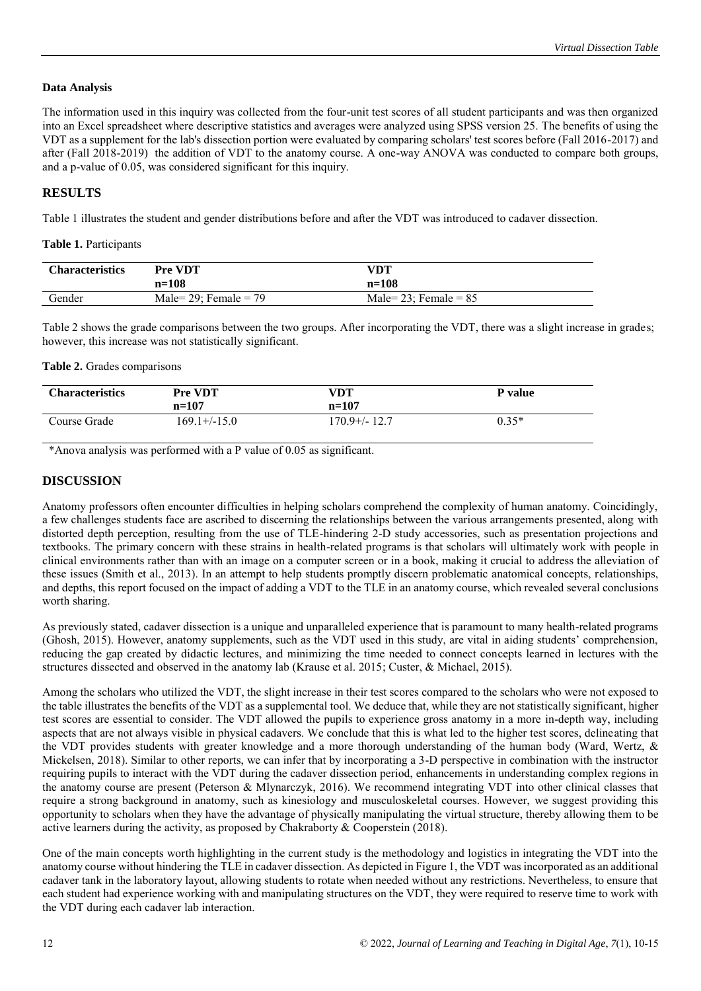# **Data Analysis**

The information used in this inquiry was collected from the four-unit test scores of all student participants and was then organized into an Excel spreadsheet where descriptive statistics and averages were analyzed using SPSS version 25. The benefits of using the VDT as a supplement for the lab's dissection portion were evaluated by comparing scholars' test scores before (Fall 2016-2017) and after (Fall 2018-2019) the addition of VDT to the anatomy course. A one-way ANOVA was conducted to compare both groups, and a p-value of 0.05, was considered significant for this inquiry.

# **RESULTS**

Table 1 illustrates the student and gender distributions before and after the VDT was introduced to cadaver dissection.

# **Table 1.** Participants

| <b>Characteristics</b> | <b>Pre VDT</b>          | VDT                      |
|------------------------|-------------------------|--------------------------|
|                        | $n = 108$               | $n=108$                  |
| Gender                 | Male= 29: Female = $79$ | Male= $23$ ; Female = 85 |

Table 2 shows the grade comparisons between the two groups. After incorporating the VDT, there was a slight increase in grades; however, this increase was not statistically significant.

# **Table 2.** Grades comparisons

| <b>Characteristics</b> | <b>Pre VDT</b><br>$n=107$ | VDT<br>$n=107$ | P value |
|------------------------|---------------------------|----------------|---------|
| Course Grade           | $169.1 + (-15.0)$         | 170.9+/-12.7   | $0.35*$ |

\*Anova analysis was performed with a P value of 0.05 as significant.

# **DISCUSSION**

Anatomy professors often encounter difficulties in helping scholars comprehend the complexity of human anatomy. Coincidingly, a few challenges students face are ascribed to discerning the relationships between the various arrangements presented, along with distorted depth perception, resulting from the use of TLE-hindering 2-D study accessories, such as presentation projections and textbooks. The primary concern with these strains in health-related programs is that scholars will ultimately work with people in clinical environments rather than with an image on a computer screen or in a book, making it crucial to address the alleviation of these issues (Smith et al., 2013). In an attempt to help students promptly discern problematic anatomical concepts, relationships, and depths, this report focused on the impact of adding a VDT to the TLE in an anatomy course, which revealed several conclusions worth sharing.

As previously stated, cadaver dissection is a unique and unparalleled experience that is paramount to many health-related programs (Ghosh, 2015). However, anatomy supplements, such as the VDT used in this study, are vital in aiding students' comprehension, reducing the gap created by didactic lectures, and minimizing the time needed to connect concepts learned in lectures with the structures dissected and observed in the anatomy lab (Krause et al. 2015; Custer, & Michael, 2015).

Among the scholars who utilized the VDT, the slight increase in their test scores compared to the scholars who were not exposed to the table illustrates the benefits of the VDT as a supplemental tool. We deduce that, while they are not statistically significant, higher test scores are essential to consider. The VDT allowed the pupils to experience gross anatomy in a more in-depth way, including aspects that are not always visible in physical cadavers. We conclude that this is what led to the higher test scores, delineating that the VDT provides students with greater knowledge and a more thorough understanding of the human body (Ward, Wertz, & Mickelsen, 2018). Similar to other reports, we can infer that by incorporating a 3-D perspective in combination with the instructor requiring pupils to interact with the VDT during the cadaver dissection period, enhancements in understanding complex regions in the anatomy course are present (Peterson & Mlynarczyk, 2016). We recommend integrating VDT into other clinical classes that require a strong background in anatomy, such as kinesiology and musculoskeletal courses. However, we suggest providing this opportunity to scholars when they have the advantage of physically manipulating the virtual structure, thereby allowing them to be active learners during the activity, as proposed by Chakraborty & Cooperstein (2018).

One of the main concepts worth highlighting in the current study is the methodology and logistics in integrating the VDT into the anatomy course without hindering the TLE in cadaver dissection. As depicted in Figure 1, the VDT was incorporated as an additional cadaver tank in the laboratory layout, allowing students to rotate when needed without any restrictions. Nevertheless, to ensure that each student had experience working with and manipulating structures on the VDT, they were required to reserve time to work with the VDT during each cadaver lab interaction.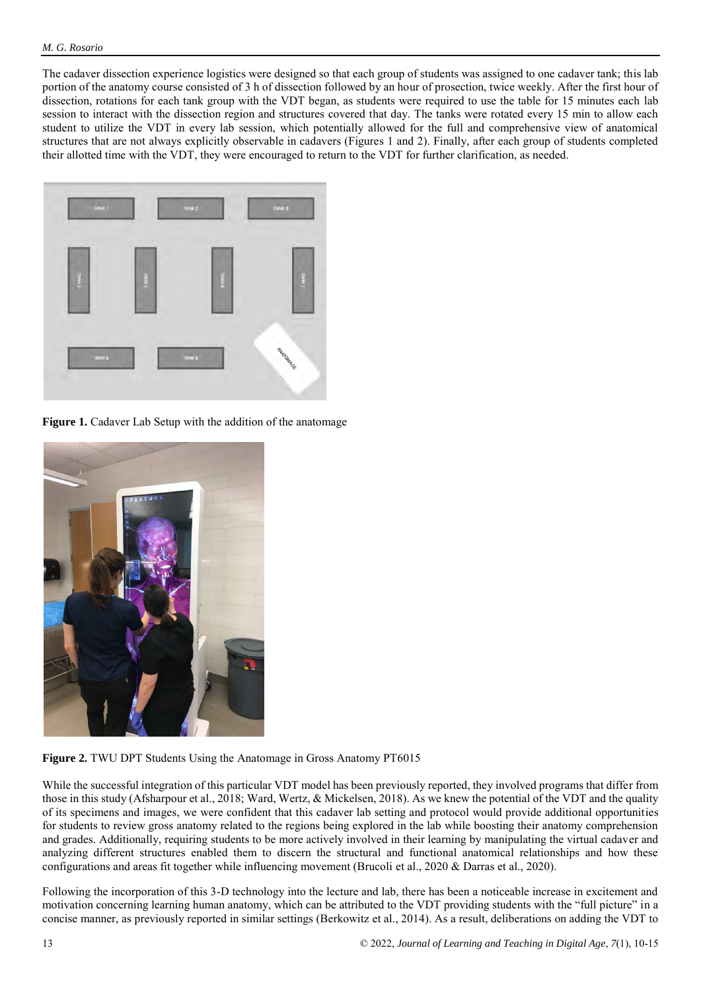The cadaver dissection experience logistics were designed so that each group of students was assigned to one cadaver tank; this lab portion of the anatomy course consisted of 3 h of dissection followed by an hour of prosection, twice weekly. After the first hour of dissection, rotations for each tank group with the VDT began, as students were required to use the table for 15 minutes each lab session to interact with the dissection region and structures covered that day. The tanks were rotated every 15 min to allow each student to utilize the VDT in every lab session, which potentially allowed for the full and comprehensive view of anatomical structures that are not always explicitly observable in cadavers (Figures 1 and 2). Finally, after each group of students completed their allotted time with the VDT, they were encouraged to return to the VDT for further clarification, as needed.



**Figure 1.** Cadaver Lab Setup with the addition of the anatomage



**Figure 2.** TWU DPT Students Using the Anatomage in Gross Anatomy PT6015

While the successful integration of this particular VDT model has been previously reported, they involved programs that differ from those in this study (Afsharpour et al., 2018; Ward, Wertz, & Mickelsen, 2018). As we knew the potential of the VDT and the quality of its specimens and images, we were confident that this cadaver lab setting and protocol would provide additional opportunities for students to review gross anatomy related to the regions being explored in the lab while boosting their anatomy comprehension and grades. Additionally, requiring students to be more actively involved in their learning by manipulating the virtual cadaver and analyzing different structures enabled them to discern the structural and functional anatomical relationships and how these configurations and areas fit together while influencing movement (Brucoli et al., 2020 & Darras et al., 2020).

Following the incorporation of this 3-D technology into the lecture and lab, there has been a noticeable increase in excitement and motivation concerning learning human anatomy, which can be attributed to the VDT providing students with the "full picture" in a concise manner, as previously reported in similar settings (Berkowitz et al., 2014). As a result, deliberations on adding the VDT to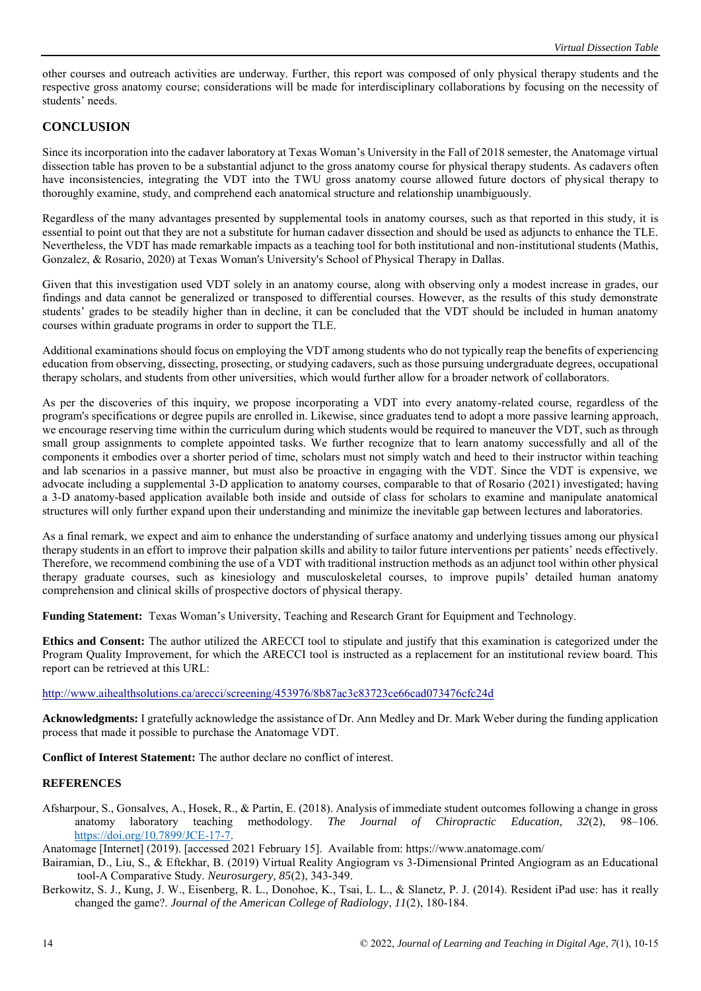other courses and outreach activities are underway. Further, this report was composed of only physical therapy students and the respective gross anatomy course; considerations will be made for interdisciplinary collaborations by focusing on the necessity of students' needs.

# **CONCLUSION**

Since its incorporation into the cadaver laboratory at Texas Woman's University in the Fall of 2018 semester, the Anatomage virtual dissection table has proven to be a substantial adjunct to the gross anatomy course for physical therapy students. As cadavers often have inconsistencies, integrating the VDT into the TWU gross anatomy course allowed future doctors of physical therapy to thoroughly examine, study, and comprehend each anatomical structure and relationship unambiguously.

Regardless of the many advantages presented by supplemental tools in anatomy courses, such as that reported in this study, it is essential to point out that they are not a substitute for human cadaver dissection and should be used as adjuncts to enhance the TLE. Nevertheless, the VDT has made remarkable impacts as a teaching tool for both institutional and non-institutional students (Mathis, Gonzalez, & Rosario, 2020) at Texas Woman's University's School of Physical Therapy in Dallas.

Given that this investigation used VDT solely in an anatomy course, along with observing only a modest increase in grades, our findings and data cannot be generalized or transposed to differential courses. However, as the results of this study demonstrate students' grades to be steadily higher than in decline, it can be concluded that the VDT should be included in human anatomy courses within graduate programs in order to support the TLE.

Additional examinations should focus on employing the VDT among students who do not typically reap the benefits of experiencing education from observing, dissecting, prosecting, or studying cadavers, such as those pursuing undergraduate degrees, occupational therapy scholars, and students from other universities, which would further allow for a broader network of collaborators.

As per the discoveries of this inquiry, we propose incorporating a VDT into every anatomy-related course, regardless of the program's specifications or degree pupils are enrolled in. Likewise, since graduates tend to adopt a more passive learning approach, we encourage reserving time within the curriculum during which students would be required to maneuver the VDT, such as through small group assignments to complete appointed tasks. We further recognize that to learn anatomy successfully and all of the components it embodies over a shorter period of time, scholars must not simply watch and heed to their instructor within teaching and lab scenarios in a passive manner, but must also be proactive in engaging with the VDT. Since the VDT is expensive, we advocate including a supplemental 3-D application to anatomy courses, comparable to that of Rosario (2021) investigated; having a 3-D anatomy-based application available both inside and outside of class for scholars to examine and manipulate anatomical structures will only further expand upon their understanding and minimize the inevitable gap between lectures and laboratories.

As a final remark, we expect and aim to enhance the understanding of surface anatomy and underlying tissues among our physical therapy students in an effort to improve their palpation skills and ability to tailor future interventions per patients' needs effectively. Therefore, we recommend combining the use of a VDT with traditional instruction methods as an adjunct tool within other physical therapy graduate courses, such as kinesiology and musculoskeletal courses, to improve pupils' detailed human anatomy comprehension and clinical skills of prospective doctors of physical therapy.

**Funding Statement:** Texas Woman's University, Teaching and Research Grant for Equipment and Technology.

**Ethics and Consent:** The author utilized the ARECCI tool to stipulate and justify that this examination is categorized under the Program Quality Improvement, for which the ARECCI tool is instructed as a replacement for an institutional review board. This report can be retrieved at this URL:

# <http://www.aihealthsolutions.ca/arecci/screening/453976/8b87ac3c83723ce66cad073476cfc24d>

**Acknowledgments:** I gratefully acknowledge the assistance of Dr. Ann Medley and Dr. Mark Weber during the funding application process that made it possible to purchase the Anatomage VDT.

**Conflict of Interest Statement:** The author declare no conflict of interest.

# **REFERENCES**

Afsharpour, S., Gonsalves, A., Hosek, R., & Partin, E. (2018). Analysis of immediate student outcomes following a change in gross anatomy laboratory teaching methodology. *The Journal of Chiropractic Education, 32*(2), 98–10[6.](https://doi.org/10.7899/JCE-17-7) [https://doi.org/10.7899/JCE-17-7.](https://doi.org/10.7899/JCE-17-7)

Anatomage [Internet] (2019). [accessed 2021 February 15]. Available from: https://www.anatomage.com/

- Bairamian, D., Liu, S., & Eftekhar, B. (2019) Virtual Reality Angiogram vs 3-Dimensional Printed Angiogram as an Educational tool-A Comparative Study. *Neurosurgery, 85*(2), 343-349.
- Berkowitz, S. J., Kung, J. W., Eisenberg, R. L., Donohoe, K., Tsai, L. L., & Slanetz, P. J. (2014). Resident iPad use: has it really changed the game?. *Journal of the American College of Radiology*, *11*(2), 180-184.